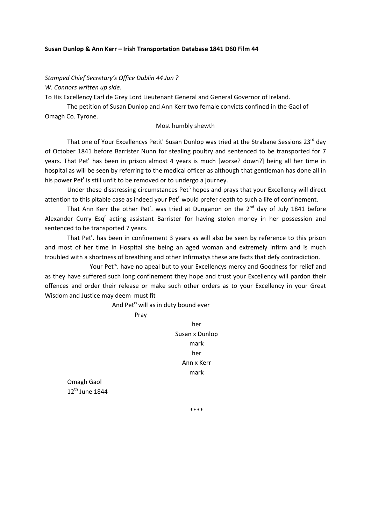#### **Susan Dunlop & Ann Kerr – Irish Transportation Database 1841 D60 Film 44**

*Stamped Chief Secretary's Office Dublin 44 Jun ? W. Connors written up side.*

To His Excellency Earl de Grey Lord Lieutenant General and General Governor of Ireland.

The petition of Susan Dunlop and Ann Kerr two female convicts confined in the Gaol of Omagh Co. Tyrone.

Most humbly shewth

That one of Your Excellencys Petit<sup>r</sup> Susan Dunlop was tried at the Strabane Sessions 23<sup>rd</sup> day of October 1841 before Barrister Nunn for stealing poultry and sentenced to be transported for 7 years. That Pet<sup>r</sup> has been in prison almost 4 years is much [worse? down?] being all her time in hospital as will be seen by referring to the medical officer as although that gentleman has done all in his power Pet<sup>r</sup> is still unfit to be removed or to undergo a journey.

Under these disstressing circumstances Pet<sup>r.</sup> hopes and prays that your Excellency will direct attention to this pitable case as indeed your Pet<sup>r.</sup> would prefer death to such a life of confinement.

That Ann Kerr the other Pet<sup>r</sup>. was tried at Dunganon on the  $2^{nd}$  day of July 1841 before Alexander Curry Esq<sup>r</sup> acting assistant Barrister for having stolen money in her possession and sentenced to be transported 7 years.

That Pet<sup>r</sup>. has been in confinement 3 years as will also be seen by reference to this prison and most of her time in Hospital she being an aged woman and extremely Infirm and is much troubled with a shortness of breathing and other Infirmatys these are facts that defy contradiction.

Your Pet<sup>rs</sup>. have no apeal but to your Excellencys mercy and Goodness for relief and as they have suffered such long confinement they hope and trust your Excellency will pardon their offences and order their release or make such other orders as to your Excellency in your Great Wisdom and Justice may deem must fit

And Pet<sup>rs</sup> will as in duty bound ever

Pray

her Susan x Dunlop mark her Ann x Kerr mark

Omagh Gaol 12<sup>th</sup> June 1844

\*\*\*\*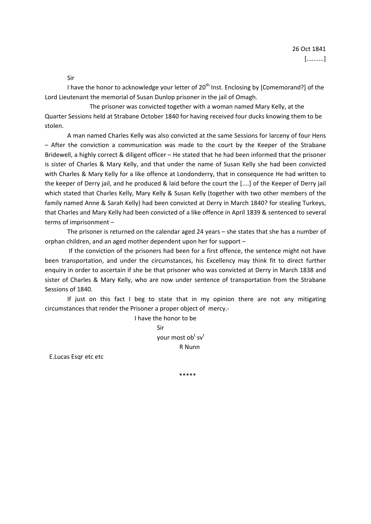Sir

I have the honor to acknowledge your letter of  $20<sup>th</sup>$  Inst. Enclosing by [Comemorand?] of the Lord Lieutenant the memorial of Susan Dunlop prisoner in the jail of Omagh.

The prisoner was convicted together with a woman named Mary Kelly, at the Quarter Sessions held at Strabane October 1840 for having received four ducks knowing them to be stolen.

A man named Charles Kelly was also convicted at the same Sessions for larceny of four Hens – After the conviction a communication was made to the court by the Keeper of the Strabane Bridewell, a highly correct & diligent officer – He stated that he had been informed that the prisoner is sister of Charles & Mary Kelly, and that under the name of Susan Kelly she had been convicted with Charles & Mary Kelly for a like offence at Londonderry, that in consequence He had written to the keeper of Derry jail, and he produced & laid before the court the [....] of the Keeper of Derry jail which stated that Charles Kelly, Mary Kelly & Susan Kelly (together with two other members of the family named Anne & Sarah Kelly) had been convicted at Derry in March 1840? for stealing Turkeys, that Charles and Mary Kelly had been convicted of a like offence in April 1839 & sentenced to several terms of imprisonment –

The prisoner is returned on the calendar aged 24 years – she states that she has a number of orphan children, and an aged mother dependent upon her for support –

If the conviction of the prisoners had been for a first offence, the sentence might not have been transportation, and under the circumstances, his Excellency may think fit to direct further enquiry in order to ascertain if she be that prisoner who was convicted at Derry in March 1838 and sister of Charles & Mary Kelly, who are now under sentence of transportation from the Strabane Sessions of 1840.

If just on this fact I beg to state that in my opinion there are not any mitigating circumstances that render the Prisoner a proper object of mercy.‐

> I have the honor to be Sir your most ob<sup>t</sup> sv<sup>t</sup> R Nunn

E.Lucas Esqr etc etc

\*\*\*\*\*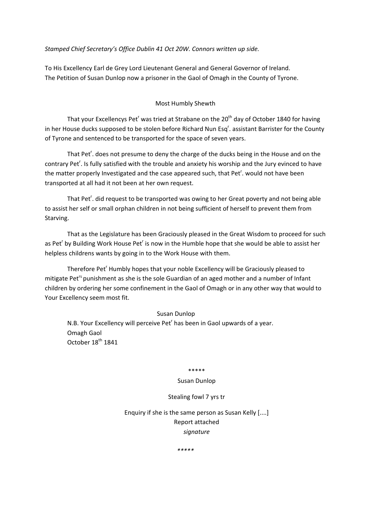*Stamped Chief Secretary's Office Dublin 41 Oct 20W. Connors written up side.*

To His Excellency Earl de Grey Lord Lieutenant General and General Governor of Ireland. The Petition of Susan Dunlop now a prisoner in the Gaol of Omagh in the County of Tyrone.

# Most Humbly Shewth

That your Excellencys Pet<sup>r</sup> was tried at Strabane on the 20<sup>th</sup> day of October 1840 for having in her House ducks supposed to be stolen before Richard Nun Esq<sup>r</sup>. assistant Barrister for the County of Tyrone and sentenced to be transported for the space of seven years.

That Pet<sup>r</sup>. does not presume to deny the charge of the ducks being in the House and on the contrary Pet<sup>r</sup>. Is fully satisfied with the trouble and anxiety his worship and the Jury evinced to have the matter properly Investigated and the case appeared such, that Pet<sup>r</sup>. would not have been transported at all had it not been at her own request.

That Pet<sup>r</sup>. did request to be transported was owing to her Great poverty and not being able to assist her self or small orphan children in not being sufficient of herself to prevent them from Starving.

That as the Legislature has been Graciously pleased in the Great Wisdom to proceed for such as Pet<sup>r</sup> by Building Work House Pet<sup>r</sup> is now in the Humble hope that she would be able to assist her helpless childrens wants by going in to the Work House with them.

Therefore Pet<sup>r</sup> Humbly hopes that your noble Excellency will be Graciously pleased to mitigate Pet<sup>rs</sup> punishment as she is the sole Guardian of an aged mother and a number of Infant children by ordering her some confinement in the Gaol of Omagh or in any other way that would to Your Excellency seem most fit.

### Susan Dunlop

N.B. Your Excellency will perceive Pet<sup>r</sup> has been in Gaol upwards of a year. Omagh Gaol October 18<sup>th</sup> 1841

### \*\*\*\*\*

## Susan Dunlop

#### Stealing fowl 7 yrs tr

Enquiry if she is the same person as Susan Kelly [....] Report attached *signature*

*\*\*\*\*\**